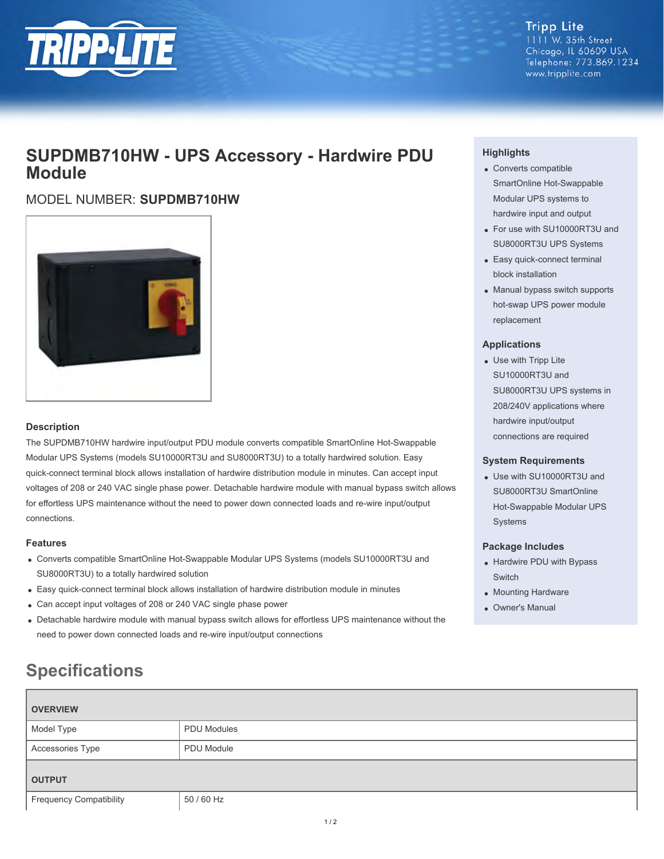

**Tripp Lite** 1111 W. 35th Street Chicago, IL 60609 USA Telephone: 773.869.1234 www.tripplite.com

# **SUPDMB710HW - UPS Accessory - Hardwire PDU Module**

# MODEL NUMBER: **SUPDMB710HW**



# **Description**

The SUPDMB710HW hardwire input/output PDU module converts compatible SmartOnline Hot-Swappable Modular UPS Systems (models SU10000RT3U and SU8000RT3U) to a totally hardwired solution. Easy quick-connect terminal block allows installation of hardwire distribution module in minutes. Can accept input voltages of 208 or 240 VAC single phase power. Detachable hardwire module with manual bypass switch allows for effortless UPS maintenance without the need to power down connected loads and re-wire input/output connections.

## **Features**

- Converts compatible SmartOnline Hot-Swappable Modular UPS Systems (models SU10000RT3U and SU8000RT3U) to a totally hardwired solution
- Easy quick-connect terminal block allows installation of hardwire distribution module in minutes
- Can accept input voltages of 208 or 240 VAC single phase power
- Detachable hardwire module with manual bypass switch allows for effortless UPS maintenance without the need to power down connected loads and re-wire input/output connections

# **Highlights**

- Converts compatible SmartOnline Hot-Swappable Modular UPS systems to hardwire input and output
- For use with SU10000RT3U and SU8000RT3U UPS Systems
- Easy quick-connect terminal block installation
- Manual bypass switch supports hot-swap UPS power module replacement

#### **Applications**

Use with Tripp Lite SU10000RT3U and SU8000RT3U UPS systems in 208/240V applications where hardwire input/output connections are required

## **System Requirements**

Use with SU10000RT3U and SU8000RT3U SmartOnline Hot-Swappable Modular UPS Systems

## **Package Includes**

- Hardwire PDU with Bypass Switch
- Mounting Hardware
- Owner's Manual

# **Specifications**

| <b>OVERVIEW</b>                |                    |
|--------------------------------|--------------------|
| Model Type                     | <b>PDU Modules</b> |
| Accessories Type               | PDU Module         |
| <b>OUTPUT</b>                  |                    |
| <b>Frequency Compatibility</b> | 50 / 60 Hz         |